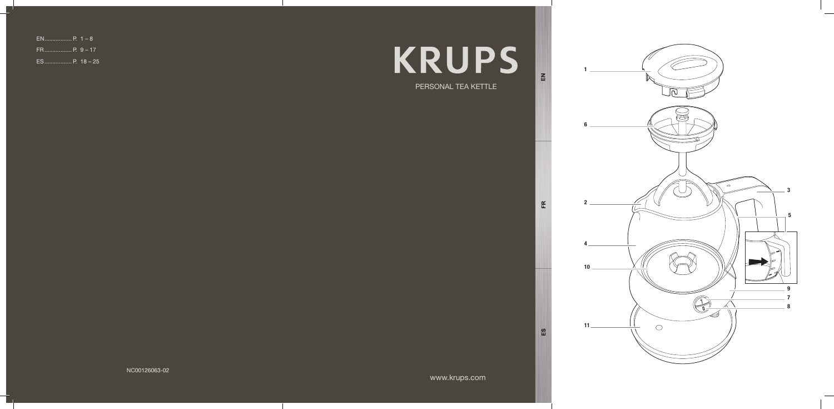www.krups.com

# **KRUPS** PERSONAL TEA KETTLE

 $E$ 

 $\mathbb E$ 

 $\mathbf{5}$ 

NC00126063-02

ES................. P. 18 – 25

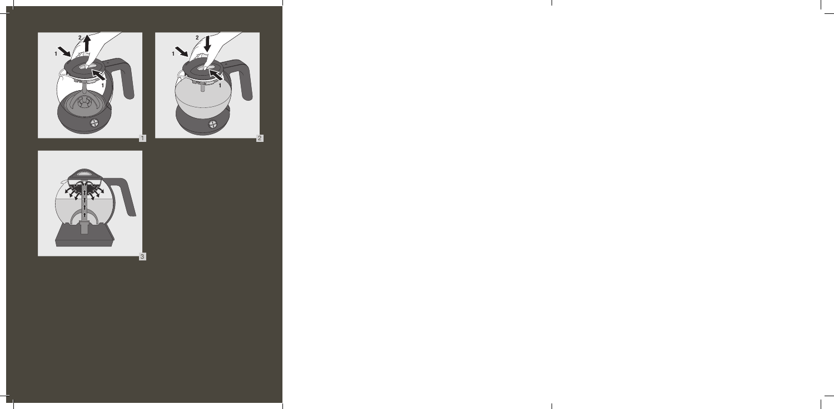



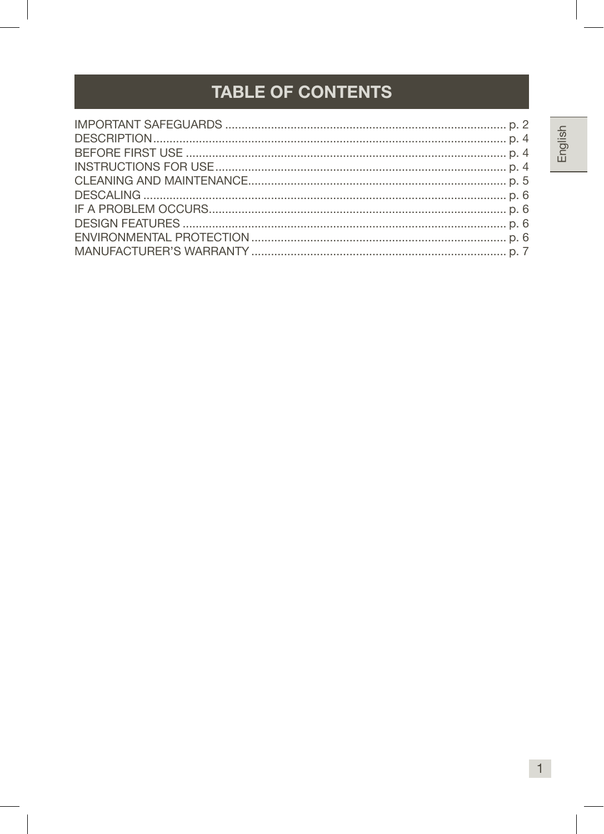# TABLE OF CONTENTS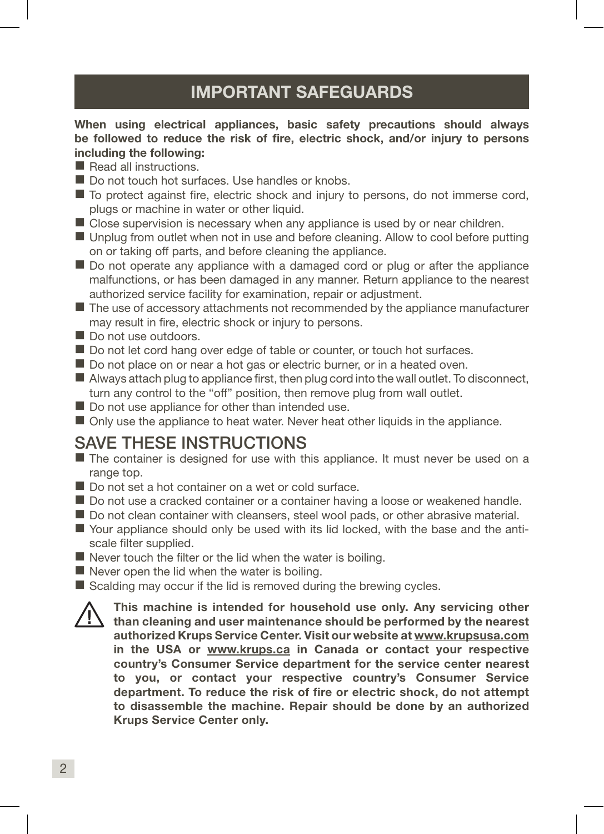#### IMPORTANT SAFEGUARDS

When using electrical appliances, basic safety precautions should always be followed to reduce the risk of fire, electric shock, and/or injury to persons including the following:

- Read all instructions
- Do not touch hot surfaces. Use handles or knobs.
- $\blacksquare$  To protect against fire, electric shock and injury to persons, do not immerse cord, plugs or machine in water or other liquid.
- Close supervision is necessary when any appliance is used by or near children.
- Unplug from outlet when not in use and before cleaning. Allow to cool before putting on or taking off parts, and before cleaning the appliance.
- Do not operate any appliance with a damaged cord or plug or after the appliance malfunctions, or has been damaged in any manner. Return appliance to the nearest authorized service facility for examination, repair or adjustment.
- $\blacksquare$  The use of accessory attachments not recommended by the appliance manufacturer may result in fire, electric shock or injury to persons.
- Do not use outdoors.
- Do not let cord hang over edge of table or counter, or touch hot surfaces.
- Do not place on or near a hot gas or electric burner, or in a heated oven.
- $\blacksquare$  Always attach plug to appliance first, then plug cord into the wall outlet. To disconnect, turn any control to the "off" position, then remove plug from wall outlet.
- Do not use appliance for other than intended use.
- Only use the appliance to heat water. Never heat other liquids in the appliance.

#### SAVE THESE INSTRUCTIONS

- $\blacksquare$  The container is designed for use with this appliance. It must never be used on a range top.
- Do not set a hot container on a wet or cold surface.
- Do not use a cracked container or a container having a loose or weakened handle.
- Do not clean container with cleansers, steel wool pads, or other abrasive material.
- Your appliance should only be used with its lid locked, with the base and the antiscale filter supplied.
- $\blacksquare$  Never touch the filter or the lid when the water is boiling.
- $\blacksquare$  Never open the lid when the water is boiling.
- $\blacksquare$  Scalding may occur if the lid is removed during the brewing cycles.



This machine is intended for household use only. Any servicing other than cleaning and user maintenance should be performed by the nearest authorized Krups Service Center. Visit our website at www.krupsusa.com in the USA or www.krups.ca in Canada or contact your respective country's Consumer Service department for the service center nearest to you, or contact your respective country's Consumer Service department. To reduce the risk of fire or electric shock, do not attempt to disassemble the machine. Repair should be done by an authorized Krups Service Center only.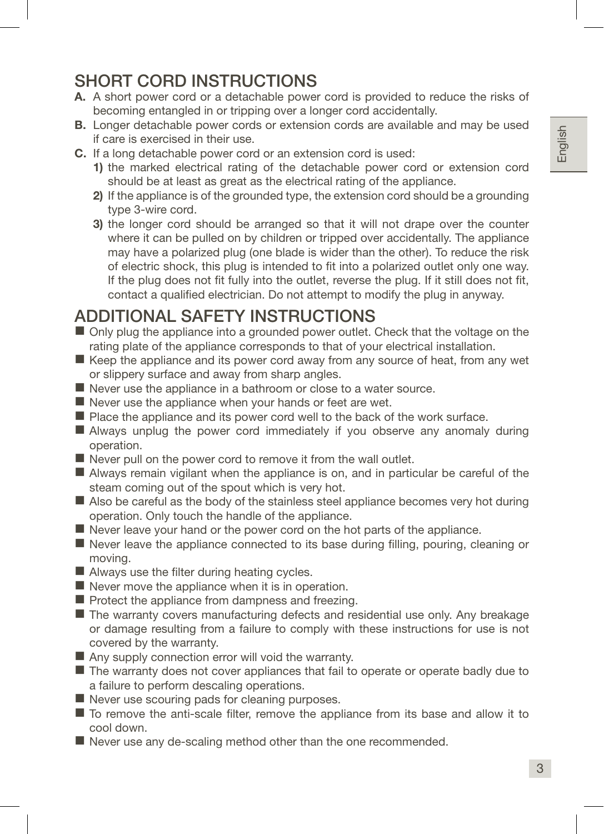#### SHORT CORD INSTRUCTIONS

- A. A short power cord or a detachable power cord is provided to reduce the risks of becoming entangled in or tripping over a longer cord accidentally.
- **B.** Longer detachable power cords or extension cords are available and may be used if care is exercised in their use.
- C. If a long detachable power cord or an extension cord is used:
	- 1) the marked electrical rating of the detachable power cord or extension cord should be at least as great as the electrical rating of the appliance.
	- 2) If the appliance is of the grounded type, the extension cord should be a grounding type 3-wire cord.
	- 3) the longer cord should be arranged so that it will not drape over the counter where it can be pulled on by children or tripped over accidentally. The appliance may have a polarized plug (one blade is wider than the other). To reduce the risk of electric shock, this plug is intended to fit into a polarized outlet only one way. If the plug does not fit fully into the outlet, reverse the plug. If it still does not fit, contact a qualified electrician. Do not attempt to modify the plug in anyway.

#### ADDITIONAL SAFETY INSTRUCTIONS

- $\blacksquare$  Only plug the appliance into a grounded power outlet. Check that the voltage on the rating plate of the appliance corresponds to that of your electrical installation.
- $\blacksquare$  Keep the appliance and its power cord away from any source of heat, from any wet or slippery surface and away from sharp angles.
- Never use the appliance in a bathroom or close to a water source.
- $\blacksquare$  Never use the appliance when your hands or feet are wet.
- **P** Place the appliance and its power cord well to the back of the work surface.
- Always unplug the power cord immediately if you observe any anomaly during operation.
- Never pull on the power cord to remove it from the wall outlet.
- Always remain vigilant when the appliance is on, and in particular be careful of the steam coming out of the spout which is very hot.
- Also be careful as the body of the stainless steel appliance becomes very hot during operation. Only touch the handle of the appliance.
- Never leave your hand or the power cord on the hot parts of the appliance.
- Never leave the appliance connected to its base during filling, pouring, cleaning or moving.
- Always use the filter during heating cycles.
- $\blacksquare$  Never move the appliance when it is in operation.
- $\blacksquare$  Protect the appliance from dampness and freezing.
- The warranty covers manufacturing defects and residential use only. Any breakage or damage resulting from a failure to comply with these instructions for use is not covered by the warranty.
- Any supply connection error will void the warranty.
- $\blacksquare$  The warranty does not cover appliances that fail to operate or operate badly due to a failure to perform descaling operations.
- Never use scouring pads for cleaning purposes.
- $\blacksquare$  To remove the anti-scale filter, remove the appliance from its base and allow it to cool down.
- Never use any de-scaling method other than the one recommended.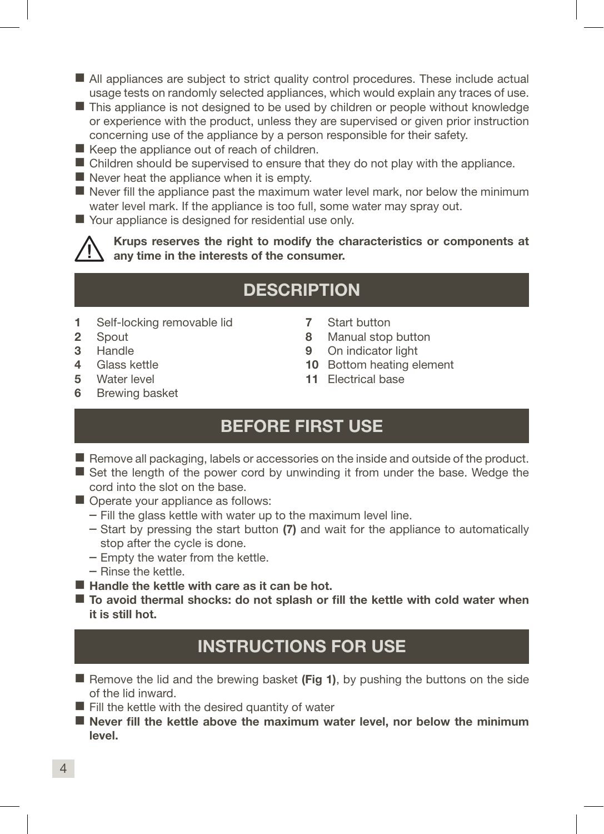- All appliances are subject to strict quality control procedures. These include actual usage tests on randomly selected appliances, which would explain any traces of use.
- This appliance is not designed to be used by children or people without knowledge or experience with the product, unless they are supervised or given prior instruction concerning use of the appliance by a person responsible for their safety.
- $\blacksquare$  Keep the appliance out of reach of children.
- Children should be supervised to ensure that they do not play with the appliance.
- $\blacksquare$  Never heat the appliance when it is empty.
- $\blacksquare$  Never fill the appliance past the maximum water level mark, nor below the minimum water level mark. If the appliance is too full, some water may spray out.
- Your appliance is designed for residential use only.



Krups reserves the right to modify the characteristics or components at any time in the interests of the consumer.

#### **DESCRIPTION**

- 1 Self-locking removable lid
- 2 Spout
- 3 Handle
- 4 Glass kettle
- 5 Water level
- 6 Brewing basket
- 7 Start button
- 8 Manual stop button
- 9 On indicator light
- 10 Bottom heating element
- 11 **Electrical base**
- BEFORE FIRST USE
- $\blacksquare$  Remove all packaging, labels or accessories on the inside and outside of the product. Set the length of the power cord by unwinding it from under the base. Wedge the cord into the slot on the base.
- Operate your appliance as follows:
	- Fill the glass kettle with water up to the maximum level line.
	- $-$  Start by pressing the start button (7) and wait for the appliance to automatically stop after the cycle is done.
	- Empty the water from the kettle.
	- Rinse the kettle.
- $\blacksquare$  Handle the kettle with care as it can be hot.
- $\blacksquare$  To avoid thermal shocks: do not splash or fill the kettle with cold water when it is still hot.

#### INSTRUCTIONS FOR USE

- Remove the lid and the brewing basket (Fig 1), by pushing the buttons on the side of the lid inward.
- $\blacksquare$  Fill the kettle with the desired quantity of water
- Never fill the kettle above the maximum water level, nor below the minimum level.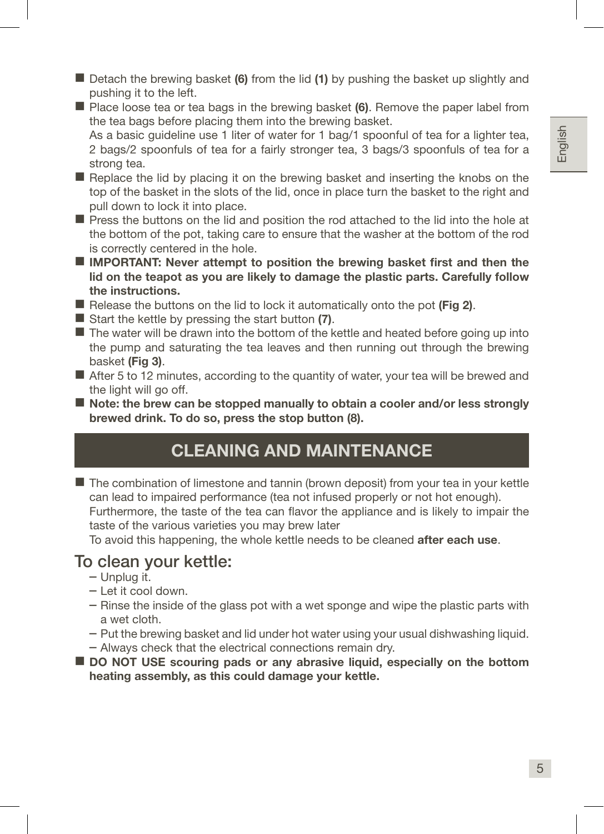- Detach the brewing basket (6) from the lid (1) by pushing the basket up slightly and pushing it to the left.
- $\blacksquare$  Place loose tea or tea bags in the brewing basket (6). Remove the paper label from the tea bags before placing them into the brewing basket.

As a basic guideline use 1 liter of water for 1 bag/1 spoonful of tea for a lighter tea, 2 bags/2 spoonfuls of tea for a fairly stronger tea, 3 bags/3 spoonfuls of tea for a strong tea.

- **Replace the lid by placing it on the brewing basket and inserting the knobs on the** top of the basket in the slots of the lid, once in place turn the basket to the right and pull down to lock it into place.
- **Press the buttons on the lid and position the rod attached to the lid into the hole at** the bottom of the pot, taking care to ensure that the washer at the bottom of the rod is correctly centered in the hole.
- IMPORTANT: Never attempt to position the brewing basket first and then the lid on the teapot as you are likely to damage the plastic parts. Carefully follow the instructions.
- Release the buttons on the lid to lock it automatically onto the pot (Fig 2).
- Start the kettle by pressing the start button  $(7)$ .
- $\blacksquare$  The water will be drawn into the bottom of the kettle and heated before going up into the pump and saturating the tea leaves and then running out through the brewing basket (Fig 3).
- After 5 to 12 minutes, according to the quantity of water, your tea will be brewed and the light will go off.
- Note: the brew can be stopped manually to obtain a cooler and/or less strongly brewed drink. To do so, press the stop button (8).

#### CLEANING AND MAINTENANCE

 $\blacksquare$  The combination of limestone and tannin (brown deposit) from your tea in your kettle can lead to impaired performance (tea not infused properly or not hot enough).

Furthermore, the taste of the tea can flavor the appliance and is likely to impair the taste of the various varieties you may brew later

To avoid this happening, the whole kettle needs to be cleaned **after each use**.

# To clean your kettle: – Unplug it.

- 
- Let it cool down.
- Rinse the inside of the glass pot with a wet sponge and wipe the plastic parts with a wet cloth.
- Put the brewing basket and lid under hot water using your usual dishwashing liquid.
- Always check that the electrical connections remain dry.
- **DO NOT USE scouring pads or any abrasive liquid, especially on the bottom** heating assembly, as this could damage your kettle.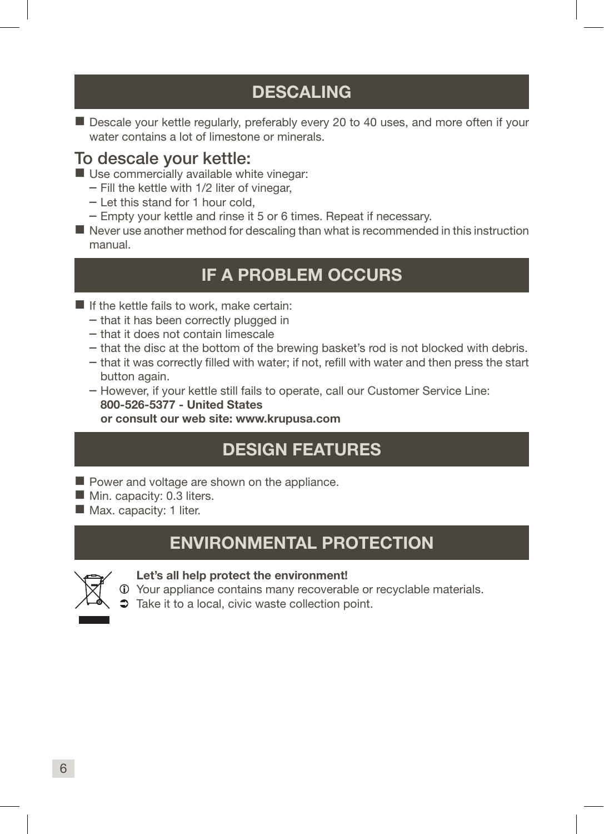#### DESCALING

**Descale your kettle regularly, preferably every 20 to 40 uses, and more often if your** water contains a lot of limestone or minerals.

#### To descale your kettle:

- Use commercially available white vinegar:
	- Fill the kettle with 1/2 liter of vinegar,
	- Let this stand for 1 hour cold,
	- Empty your kettle and rinse it 5 or 6 times. Repeat if necessary.
- $\blacksquare$  Never use another method for descaling than what is recommended in this instruction manual.

#### IF A PROBLEM OCCURS

- $\blacksquare$  If the kettle fails to work, make certain:
	- that it has been correctly plugged in
	- that it does not contain limescale
	- that the disc at the bottom of the brewing basket's rod is not blocked with debris.
	- that it was correctly filled with water; if not, refill with water and then press the start button again.
	- However, if your kettle still fails to operate, call our Customer Service Line: 800-526-5377 - United States

or consult our web site: www.krupusa.com

#### DESIGN FEATURES

- $\blacksquare$  Power and voltage are shown on the appliance.
- Min. capacity: 0.3 liters.
- Max. capacity: 1 liter.

#### ENVIRONMENTAL PROTECTION



#### Let's all help protect the environment!

- Your appliance contains many recoverable or recyclable materials.
- $\supset$  Take it to a local, civic waste collection point.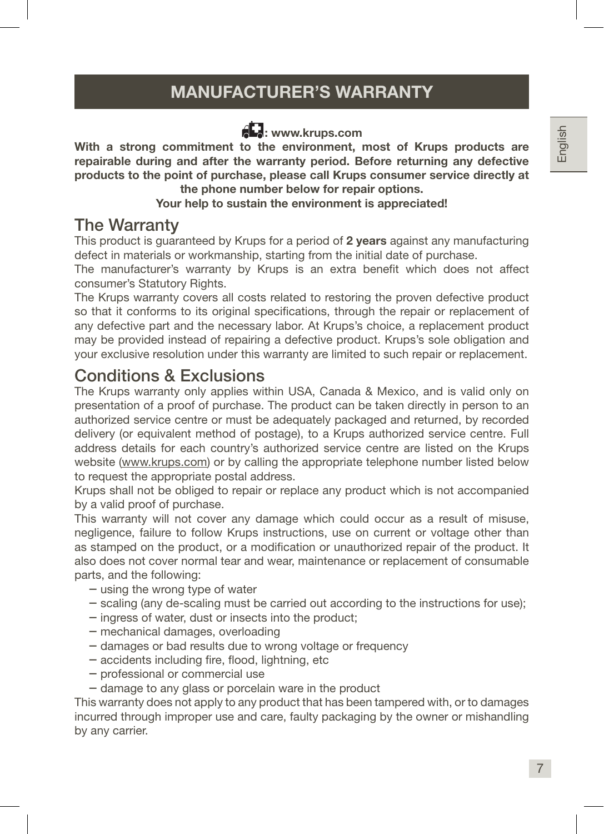#### : www.krups.com

With a strong commitment to the environment, most of Krups products are repairable during and after the warranty period. Before returning any defective products to the point of purchase, please call Krups consumer service directly at the phone number below for repair options.

#### Your help to sustain the environment is appreciated!

#### The Warranty

This product is guaranteed by Krups for a period of 2 years against any manufacturing defect in materials or workmanship, starting from the initial date of purchase.

The manufacturer's warranty by Krups is an extra benefit which does not affect consumer's Statutory Rights.

The Krups warranty covers all costs related to restoring the proven defective product so that it conforms to its original specifications, through the repair or replacement of any defective part and the necessary labor. At Krups's choice, a replacement product may be provided instead of repairing a defective product. Krups's sole obligation and your exclusive resolution under this warranty are limited to such repair or replacement.

#### Conditions & Exclusions

The Krups warranty only applies within USA, Canada & Mexico, and is valid only on presentation of a proof of purchase. The product can be taken directly in person to an authorized service centre or must be adequately packaged and returned, by recorded delivery (or equivalent method of postage), to a Krups authorized service centre. Full address details for each country's authorized service centre are listed on the Krups website (www.krups.com) or by calling the appropriate telephone number listed below to request the appropriate postal address.

Krups shall not be obliged to repair or replace any product which is not accompanied by a valid proof of purchase.

This warranty will not cover any damage which could occur as a result of misuse, negligence, failure to follow Krups instructions, use on current or voltage other than as stamped on the product, or a modification or unauthorized repair of the product. It also does not cover normal tear and wear, maintenance or replacement of consumable parts, and the following:

- using the wrong type of water
- scaling (any de-scaling must be carried out according to the instructions for use);
- ingress of water, dust or insects into the product;
- mechanical damages, overloading
- damages or bad results due to wrong voltage or frequency
- accidents including fire, flood, lightning, etc
- professional or commercial use
- damage to any glass or porcelain ware in the product

This warranty does not apply to any product that has been tampered with, or to damages incurred through improper use and care, faulty packaging by the owner or mishandling by any carrier.

English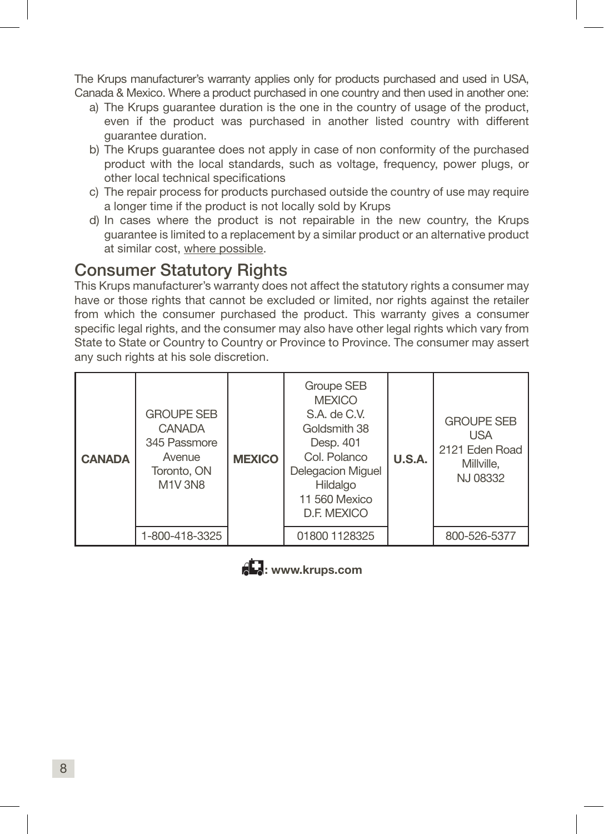The Krups manufacturer's warranty applies only for products purchased and used in USA, Canada & Mexico. Where a product purchased in one country and then used in another one:

- a) The Krups guarantee duration is the one in the country of usage of the product, even if the product was purchased in another listed country with different guarantee duration.
- b) The Krups guarantee does not apply in case of non conformity of the purchased product with the local standards, such as voltage, frequency, power plugs, or other local technical specifications
- c) The repair process for products purchased outside the country of use may require a longer time if the product is not locally sold by Krups
- d) In cases where the product is not repairable in the new country, the Krups guarantee is limited to a replacement by a similar product or an alternative product at similar cost, where possible.

#### Consumer Statutory Rights

This Krups manufacturer's warranty does not affect the statutory rights a consumer may have or those rights that cannot be excluded or limited, nor rights against the retailer from which the consumer purchased the product. This warranty gives a consumer specific legal rights, and the consumer may also have other legal rights which vary from State to State or Country to Country or Province to Province. The consumer may assert any such rights at his sole discretion.

| <b>CANADA</b> | <b>GROUPE SEB</b><br><b>CANADA</b><br>345 Passmore<br>Avenue<br>Toronto, ON<br><b>M1V3N8</b> | <b>MEXICO</b> | Groupe SEB<br><b>MEXICO</b><br>S.A. de C.V.<br>Goldsmith 38<br>Desp. 401<br>Col. Polanco<br>Delegacion Miguel<br>Hildalgo<br>11 560 Mexico<br>D.F. MEXICO | U.S.A. | <b>GROUPE SEB</b><br><b>USA</b><br>2121 Eden Road<br>Millville,<br>NJ 08332 |
|---------------|----------------------------------------------------------------------------------------------|---------------|-----------------------------------------------------------------------------------------------------------------------------------------------------------|--------|-----------------------------------------------------------------------------|
|               | 1-800-418-3325                                                                               |               | 01800 1128325                                                                                                                                             |        | 800-526-5377                                                                |

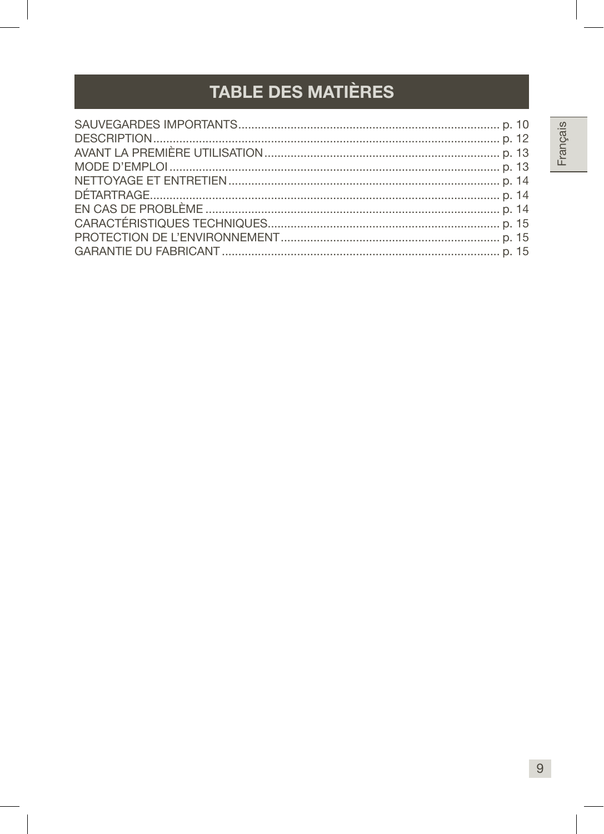# **TABLE DES MATIÈRES**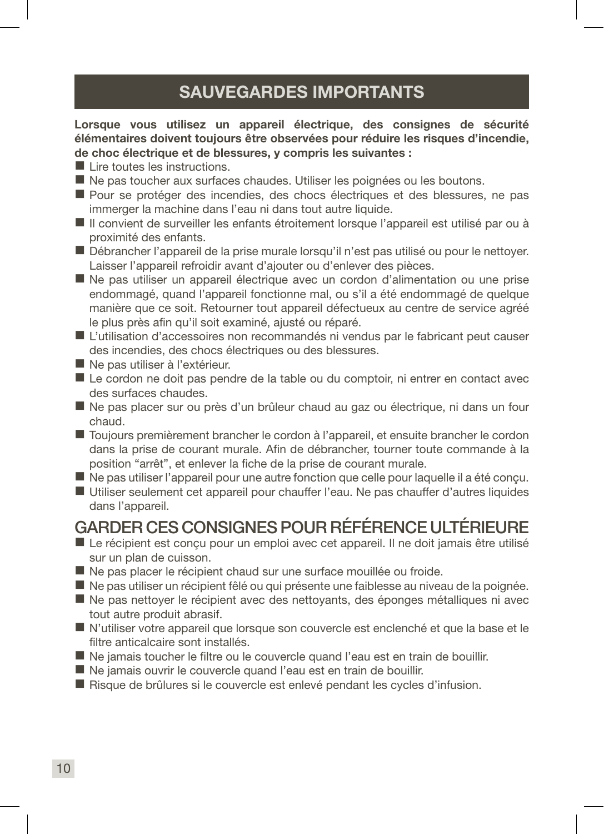#### SAUVEGARDES IMPORTANTS

Lorsque vous utilisez un appareil électrique, des consignes de sécurité élémentaires doivent toujours être observées pour réduire les risques d'incendie, de choc électrique et de blessures, y compris les suivantes :

- Lire toutes les instructions.
- Ne pas toucher aux surfaces chaudes. Utiliser les poignées ou les boutons.
- Pour se protéger des incendies, des chocs électriques et des blessures, ne pas immerger la machine dans l'eau ni dans tout autre liquide.
- Il convient de surveiller les enfants étroitement lorsque l'appareil est utilisé par ou à proximité des enfants.
- Débrancher l'appareil de la prise murale lorsqu'il n'est pas utilisé ou pour le nettoyer. Laisser l'appareil refroidir avant d'ajouter ou d'enlever des pièces.
- Ne pas utiliser un appareil électrique avec un cordon d'alimentation ou une prise endommagé, quand l'appareil fonctionne mal, ou s'il a été endommagé de quelque manière que ce soit. Retourner tout appareil défectueux au centre de service agréé le plus près afin qu'il soit examiné, ajusté ou réparé.
- L'utilisation d'accessoires non recommandés ni vendus par le fabricant peut causer des incendies, des chocs électriques ou des blessures.
- Ne pas utiliser à l'extérieur.
- Le cordon ne doit pas pendre de la table ou du comptoir, ni entrer en contact avec des surfaces chaudes.
- Ne pas placer sur ou près d'un brûleur chaud au gaz ou électrique, ni dans un four chaud.
- Toujours premièrement brancher le cordon à l'appareil, et ensuite brancher le cordon dans la prise de courant murale. Afin de débrancher, tourner toute commande à la position "arrêt", et enlever la fiche de la prise de courant murale.
- Ne pas utiliser l'appareil pour une autre fonction que celle pour laquelle il a été conçu.
- Utiliser seulement cet appareil pour chauffer l'eau. Ne pas chauffer d'autres liquides dans l'appareil.

#### GARDER CES CONSIGNES POUR RÉFÉRENCE ULTÉRIEURE

- Le récipient est concu pour un emploi avec cet appareil. Il ne doit jamais être utilisé sur un plan de cuisson.
- Ne pas placer le récipient chaud sur une surface mouillée ou froide.
- Ne pas utiliser un récipient fêlé ou qui présente une faiblesse au niveau de la poignée.
- Ne pas nettoyer le récipient avec des nettoyants, des éponges métalliques ni avec tout autre produit abrasif.
- N'utiliser votre appareil que lorsque son couvercle est enclenché et que la base et le filtre anticalcaire sont installés.
- Ne jamais toucher le filtre ou le couvercle quand l'eau est en train de bouillir.
- Ne jamais ouvrir le couvercle quand l'eau est en train de bouillir.
- Risque de brûlures si le couvercle est enlevé pendant les cycles d'infusion.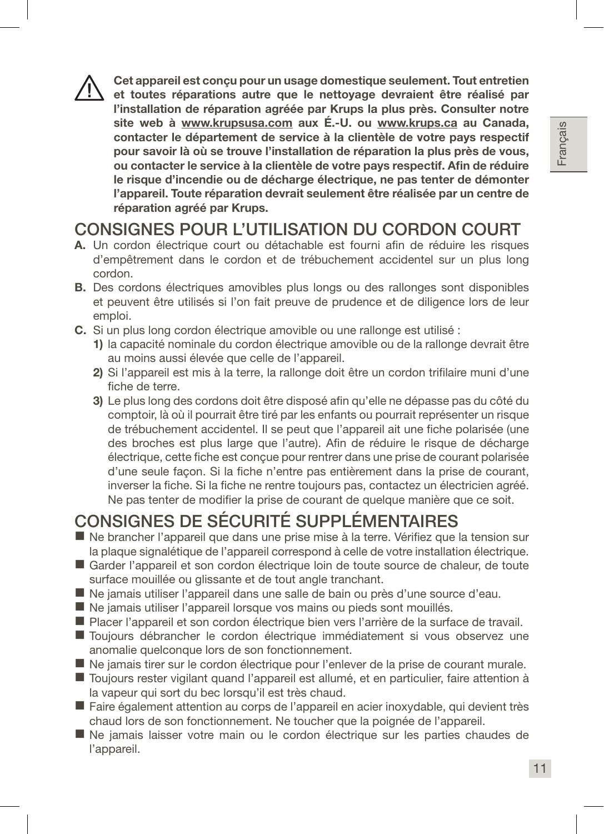Cet appareil est conçu pour un usage domestique seulement. Tout entretien et toutes réparations autre que le nettoyage devraient être réalisé par l'installation de réparation agréée par Krups la plus près. Consulter notre site web à www.krupsusa.com aux É.-U. ou www.krups.ca au Canada, contacter le département de service à la clientèle de votre pays respectif pour savoir là où se trouve l'installation de réparation la plus près de vous, ou contacter le service à la clientèle de votre pays respectif. Afin de réduire le risque d'incendie ou de décharge électrique, ne pas tenter de démonter l'appareil. Toute réparation devrait seulement être réalisée par un centre de réparation agréé par Krups.

#### CONSIGNES POUR L'UTILISATION DU CORDON COURT

- A. Un cordon électrique court ou détachable est fourni afin de réduire les risques d'empêtrement dans le cordon et de trébuchement accidentel sur un plus long cordon.
- B. Des cordons électriques amovibles plus longs ou des rallonges sont disponibles et peuvent être utilisés si l'on fait preuve de prudence et de diligence lors de leur emploi.
- C. Si un plus long cordon électrique amovible ou une rallonge est utilisé :
	- 1) la capacité nominale du cordon électrique amovible ou de la rallonge devrait être au moins aussi élevée que celle de l'appareil.
	- 2) Si l'appareil est mis à la terre, la rallonge doit être un cordon trifilaire muni d'une fiche de terre.
	- 3) Le plus long des cordons doit être disposé afin qu'elle ne dépasse pas du côté du comptoir, là où il pourrait être tiré par les enfants ou pourrait représenter un risque de trébuchement accidentel. Il se peut que l'appareil ait une fiche polarisée (une des broches est plus large que l'autre). Afin de réduire le risque de décharge électrique, cette fiche est conçue pour rentrer dans une prise de courant polarisée d'une seule façon. Si la fiche n'entre pas entièrement dans la prise de courant, inverser la fiche. Si la fiche ne rentre toujours pas, contactez un électricien agréé. Ne pas tenter de modifier la prise de courant de quelque manière que ce soit.

### CONSIGNES DE SÉCURITÉ SUPPLÉMENTAIRES

- Ne brancher l'appareil que dans une prise mise à la terre. Vérifiez que la tension sur la plaque signalétique de l'appareil correspond à celle de votre installation électrique.
- Garder l'appareil et son cordon électrique loin de toute source de chaleur, de toute surface mouillée ou glissante et de tout angle tranchant.
- Ne jamais utiliser l'appareil dans une salle de bain ou près d'une source d'eau.
- Ne jamais utiliser l'appareil lorsque vos mains ou pieds sont mouillés.
- Placer l'appareil et son cordon électrique bien vers l'arrière de la surface de travail.
- Toujours débrancher le cordon électrique immédiatement si vous observez une anomalie quelconque lors de son fonctionnement.
- Ne jamais tirer sur le cordon électrique pour l'enlever de la prise de courant murale.
- Toujours rester vigilant quand l'appareil est allumé, et en particulier, faire attention à la vapeur qui sort du bec lorsqu'il est très chaud.
- Faire également attention au corps de l'appareil en acier inoxydable, qui devient très chaud lors de son fonctionnement. Ne toucher que la poignée de l'appareil.
- Ne jamais laisser votre main ou le cordon électrique sur les parties chaudes de l'appareil.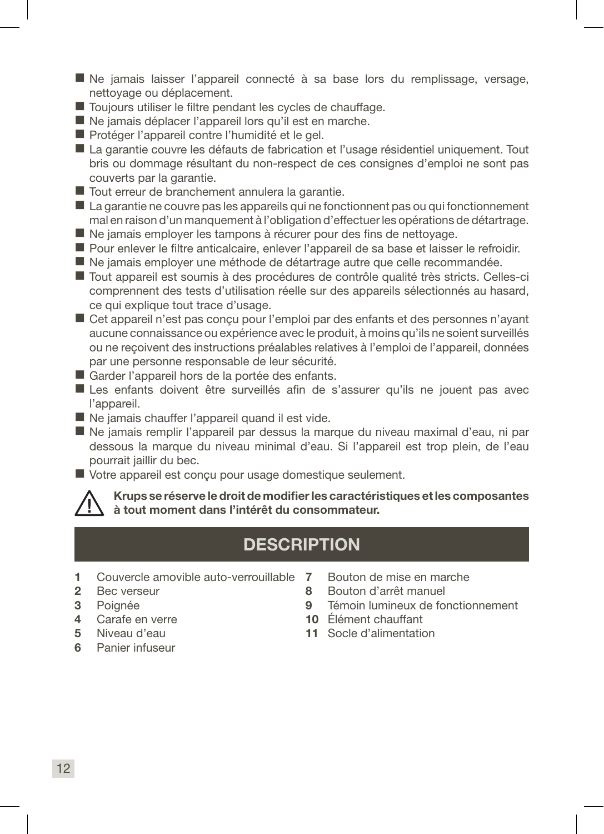- Ne jamais laisser l'appareil connecté à sa base lors du remplissage, versage, nettoyage ou déplacement.
- Toujours utiliser le filtre pendant les cycles de chauffage.
- Ne jamais déplacer l'appareil lors qu'il est en marche.
- Protéger l'appareil contre l'humidité et le gel.
- La garantie couvre les défauts de fabrication et l'usage résidentiel uniquement. Tout bris ou dommage résultant du non-respect de ces consignes d'emploi ne sont pas couverts par la garantie.
- Tout erreur de branchement annulera la garantie.
- $\blacksquare$  La garantie ne couvre pas les appareils qui ne fonctionnent pas ou qui fonctionnement mal en raison d'un manquement à l'obligation d'effectuer les opérations de détartrage.
- Ne jamais employer les tampons à récurer pour des fins de nettoyage.
- Pour enlever le filtre anticalcaire, enlever l'appareil de sa base et laisser le refroidir.
- $\blacksquare$  Ne jamais employer une méthode de détartrage autre que celle recommandée.
- Tout appareil est soumis à des procédures de contrôle qualité très stricts. Celles-ci comprennent des tests d'utilisation réelle sur des appareils sélectionnés au hasard, ce qui explique tout trace d'usage.
- Cet appareil n'est pas conçu pour l'emploi par des enfants et des personnes n'ayant aucune connaissance ou expérience avec le produit, à moins qu'ils ne soient surveillés ou ne reçoivent des instructions préalables relatives à l'emploi de l'appareil, données par une personne responsable de leur sécurité.
- Garder l'appareil hors de la portée des enfants.
- Les enfants doivent être surveillés afin de s'assurer qu'ils ne jouent pas avec l'appareil.
- Ne jamais chauffer l'appareil quand il est vide.
- Ne jamais remplir l'appareil par dessus la marque du niveau maximal d'eau, ni par dessous la marque du niveau minimal d'eau. Si l'appareil est trop plein, de l'eau pourrait jaillir du bec.
- Votre appareil est conçu pour usage domestique seulement.



Krups se réserve le droit de modifier les caractéristiques et les composantes à tout moment dans l'intérêt du consommateur.

#### **DESCRIPTION**

- 1 Couvercle amovible auto-verrouillable 7
- 2 Bec verseur
- 3 Poignée
- 4 Carafe en verre
- 5 Niveau d'eau
- 6 Panier infuseur
- 7 Bouton de mise en marche
- 8 Bouton d'arrêt manuel
- 9 Témoin lumineux de fonctionnement
- 10 Élément chauffant
- 11 Socle d'alimentation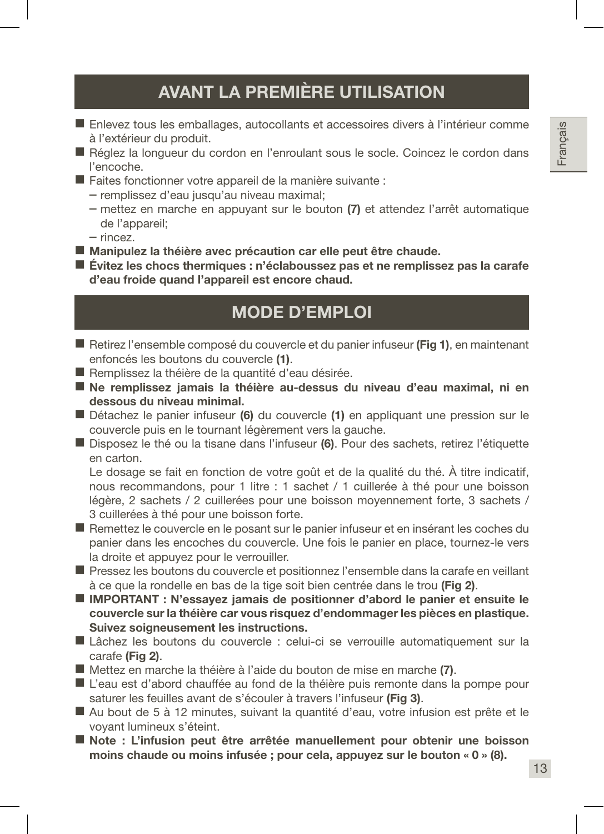## AVANT LA PREMIÈRE UTILISATION

- Enlevez tous les emballages, autocollants et accessoires divers à l'intérieur comme à l'extérieur du produit.
- Réglez la longueur du cordon en l'enroulant sous le socle. Coincez le cordon dans l'encoche.
- Faites fonctionner votre appareil de la manière suivante :
	- remplissez d'eau jusqu'au niveau maximal;
	- mettez en marche en appuyant sur le bouton (7) et attendez l'arrêt automatique de l'appareil;
	- rincez.
- Manipulez la théière avec précaution car elle peut être chaude.
- Évitez les chocs thermiques : n'éclaboussez pas et ne remplissez pas la carafe d'eau froide quand l'appareil est encore chaud.

#### MODE D'EMPLOI

- Retirez l'ensemble composé du couvercle et du panier infuseur (Fig 1), en maintenant enfoncés les boutons du couvercle (1).
- Remplissez la théière de la quantité d'eau désirée.
- Ne remplissez jamais la théière au-dessus du niveau d'eau maximal, ni en dessous du niveau minimal.
- Détachez le panier infuseur (6) du couvercle (1) en appliquant une pression sur le couvercle puis en le tournant légèrement vers la gauche.
- Disposez le thé ou la tisane dans l'infuseur (6). Pour des sachets, retirez l'étiquette en carton.

Le dosage se fait en fonction de votre goût et de la qualité du thé. À titre indicatif, nous recommandons, pour 1 litre : 1 sachet / 1 cuillerée à thé pour une boisson légère, 2 sachets / 2 cuillerées pour une boisson moyennement forte, 3 sachets / 3 cuillerées à thé pour une boisson forte.

- Remettez le couvercle en le posant sur le panier infuseur et en insérant les coches du panier dans les encoches du couvercle. Une fois le panier en place, tournez-le vers la droite et appuyez pour le verrouiller.
- Pressez les boutons du couvercle et positionnez l'ensemble dans la carafe en veillant à ce que la rondelle en bas de la tige soit bien centrée dans le trou (Fig 2).
- IMPORTANT : N'essayez jamais de positionner d'abord le panier et ensuite le couvercle sur la théière car vous risquez d'endommager les pièces en plastique. Suivez soigneusement les instructions.
- Lâchez les boutons du couvercle : celui-ci se verrouille automatiquement sur la carafe (Fig 2).
- Mettez en marche la théière à l'aide du bouton de mise en marche (7).
- L'eau est d'abord chauffée au fond de la théière puis remonte dans la pompe pour saturer les feuilles avant de s'écouler à travers l'infuseur (Fig 3).
- Au bout de 5 à 12 minutes, suivant la quantité d'eau, votre infusion est prête et le voyant lumineux s'éteint.
- Note : L'infusion peut être arrêtée manuellement pour obtenir une boisson moins chaude ou moins infusée ; pour cela, appuyez sur le bouton « 0 » (8).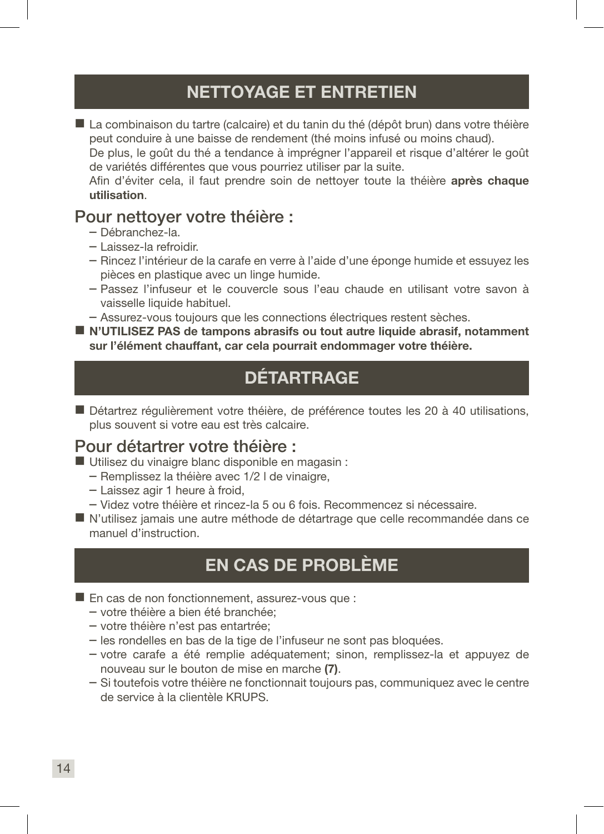#### NETTOYAGE ET ENTRETIEN

 La combinaison du tartre (calcaire) et du tanin du thé (dépôt brun) dans votre théière peut conduire à une baisse de rendement (thé moins infusé ou moins chaud).

De plus, le goût du thé a tendance à imprégner l'appareil et risque d'altérer le goût de variétés différentes que vous pourriez utiliser par la suite.

Afin d'éviter cela, il faut prendre soin de nettoyer toute la théière après chaque utilisation.

# Pour nettoyer votre théière : – Débranchez-la.

- 
- Laissez-la refroidir.
- Rincez l'intérieur de la carafe en verre à l'aide d'une éponge humide et essuyez les pièces en plastique avec un linge humide.
- Passez l'infuseur et le couvercle sous l'eau chaude en utilisant votre savon à vaisselle liquide habituel.
- Assurez-vous toujours que les connections électriques restent sèches.

■ N'UTILISEZ PAS de tampons abrasifs ou tout autre liquide abrasif, notamment sur l'élément chauffant, car cela pourrait endommager votre théière.

#### **DÉTARTRAGE**

Détartrez régulièrement votre théière, de préférence toutes les 20 à 40 utilisations, plus souvent si votre eau est très calcaire.

#### Pour détartrer votre théière :

- Utilisez du vinaigre blanc disponible en magasin :
	- Remplissez la théière avec 1/2 l de vinaigre,
	- Laissez agir 1 heure à froid,
	- Videz votre théière et rincez-la 5 ou 6 fois. Recommencez si nécessaire.
- N'utilisez jamais une autre méthode de détartrage que celle recommandée dans ce manuel d'instruction.

#### EN CAS DE PROBLÈME

- En cas de non fonctionnement, assurez-vous que :
	- votre théière a bien été branchée;
	- votre théière n'est pas entartrée;
	- les rondelles en bas de la tige de l'infuseur ne sont pas bloquées.
	- votre carafe a été remplie adéquatement; sinon, remplissez-la et appuyez de nouveau sur le bouton de mise en marche (7).
	- Si toutefois votre théière ne fonctionnait toujours pas, communiquez avec le centre de service à la clientèle KRUPS.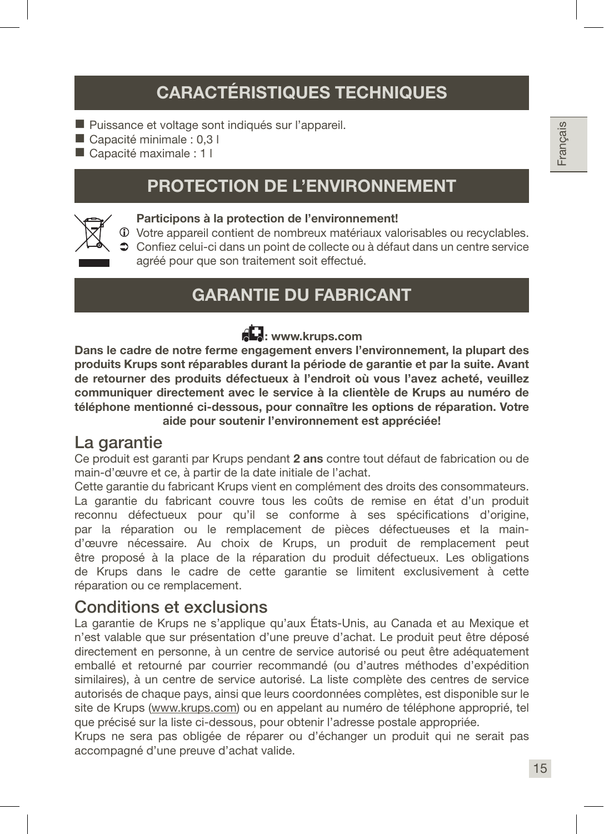#### CARACTÉRISTIQUES TECHNIQUES

- Puissance et voltage sont indiqués sur l'appareil.
- Capacité minimale : 0,3 l
- Capacité maximale : 1 l

#### PROTECTION DE L'ENVIRONNEMENT

#### Participons à la protection de l'environnement!

- Votre appareil contient de nombreux matériaux valorisables ou recyclables.
- Confiez celui-ci dans un point de collecte ou à défaut dans un centre service agréé pour que son traitement soit effectué.

#### GARANTIE DU FABRICANT



: www.krups.com

Dans le cadre de notre ferme engagement envers l'environnement, la plupart des produits Krups sont réparables durant la période de garantie et par la suite. Avant de retourner des produits défectueux à l'endroit où vous l'avez acheté, veuillez communiquer directement avec le service à la clientèle de Krups au numéro de téléphone mentionné ci-dessous, pour connaître les options de réparation. Votre aide pour soutenir l'environnement est appréciée!

#### La garantie

Ce produit est garanti par Krups pendant 2 ans contre tout défaut de fabrication ou de main-d'œuvre et ce, à partir de la date initiale de l'achat.

Cette garantie du fabricant Krups vient en complément des droits des consommateurs. La garantie du fabricant couvre tous les coûts de remise en état d'un produit reconnu défectueux pour qu'il se conforme à ses spécifications d'origine, par la réparation ou le remplacement de pièces défectueuses et la maind'œuvre nécessaire. Au choix de Krups, un produit de remplacement peut être proposé à la place de la réparation du produit défectueux. Les obligations de Krups dans le cadre de cette garantie se limitent exclusivement à cette réparation ou ce remplacement.

#### Conditions et exclusions

La garantie de Krups ne s'applique qu'aux États-Unis, au Canada et au Mexique et n'est valable que sur présentation d'une preuve d'achat. Le produit peut être déposé directement en personne, à un centre de service autorisé ou peut être adéquatement emballé et retourné par courrier recommandé (ou d'autres méthodes d'expédition similaires), à un centre de service autorisé. La liste complète des centres de service autorisés de chaque pays, ainsi que leurs coordonnées complètes, est disponible sur le site de Krups (www.krups.com) ou en appelant au numéro de téléphone approprié, tel que précisé sur la liste ci-dessous, pour obtenir l'adresse postale appropriée.

Krups ne sera pas obligée de réparer ou d'échanger un produit qui ne serait pas accompagné d'une preuve d'achat valide.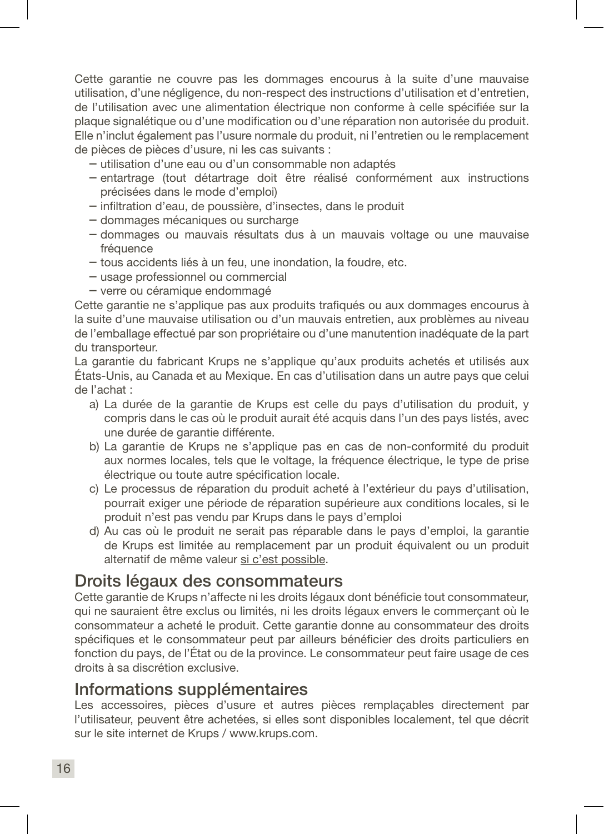Cette garantie ne couvre pas les dommages encourus à la suite d'une mauvaise utilisation, d'une négligence, du non-respect des instructions d'utilisation et d'entretien, de l'utilisation avec une alimentation électrique non conforme à celle spécifiée sur la plaque signalétique ou d'une modification ou d'une réparation non autorisée du produit. Elle n'inclut également pas l'usure normale du produit, ni l'entretien ou le remplacement de pièces de pièces d'usure, ni les cas suivants :

- utilisation d'une eau ou d'un consommable non adaptés
- entartrage (tout détartrage doit être réalisé conformément aux instructions précisées dans le mode d'emploi)
- infiltration d'eau, de poussière, d'insectes, dans le produit
- dommages mécaniques ou surcharge
- dommages ou mauvais résultats dus à un mauvais voltage ou une mauvaise fréquence
- tous accidents liés à un feu, une inondation, la foudre, etc.
- usage professionnel ou commercial
- verre ou céramique endommagé

Cette garantie ne s'applique pas aux produits trafiqués ou aux dommages encourus à la suite d'une mauvaise utilisation ou d'un mauvais entretien, aux problèmes au niveau de l'emballage effectué par son propriétaire ou d'une manutention inadéquate de la part du transporteur.

La garantie du fabricant Krups ne s'applique qu'aux produits achetés et utilisés aux États-Unis, au Canada et au Mexique. En cas d'utilisation dans un autre pays que celui de l'achat :

- a) La durée de la garantie de Krups est celle du pays d'utilisation du produit, y compris dans le cas où le produit aurait été acquis dans l'un des pays listés, avec une durée de garantie différente.
- b) La garantie de Krups ne s'applique pas en cas de non-conformité du produit aux normes locales, tels que le voltage, la fréquence électrique, le type de prise électrique ou toute autre spécification locale.
- c) Le processus de réparation du produit acheté à l'extérieur du pays d'utilisation, pourrait exiger une période de réparation supérieure aux conditions locales, si le produit n'est pas vendu par Krups dans le pays d'emploi
- d) Au cas où le produit ne serait pas réparable dans le pays d'emploi, la garantie de Krups est limitée au remplacement par un produit équivalent ou un produit alternatif de même valeur si c'est possible.

#### Droits légaux des consommateurs

Cette garantie de Krups n'affecte ni les droits légaux dont bénéficie tout consommateur, qui ne sauraient être exclus ou limités, ni les droits légaux envers le commerçant où le consommateur a acheté le produit. Cette garantie donne au consommateur des droits spécifiques et le consommateur peut par ailleurs bénéficier des droits particuliers en fonction du pays, de l'État ou de la province. Le consommateur peut faire usage de ces droits à sa discrétion exclusive.

#### Informations supplémentaires

Les accessoires, pièces d'usure et autres pièces remplaçables directement par l'utilisateur, peuvent être achetées, si elles sont disponibles localement, tel que décrit sur le site internet de Krups / www.krups.com.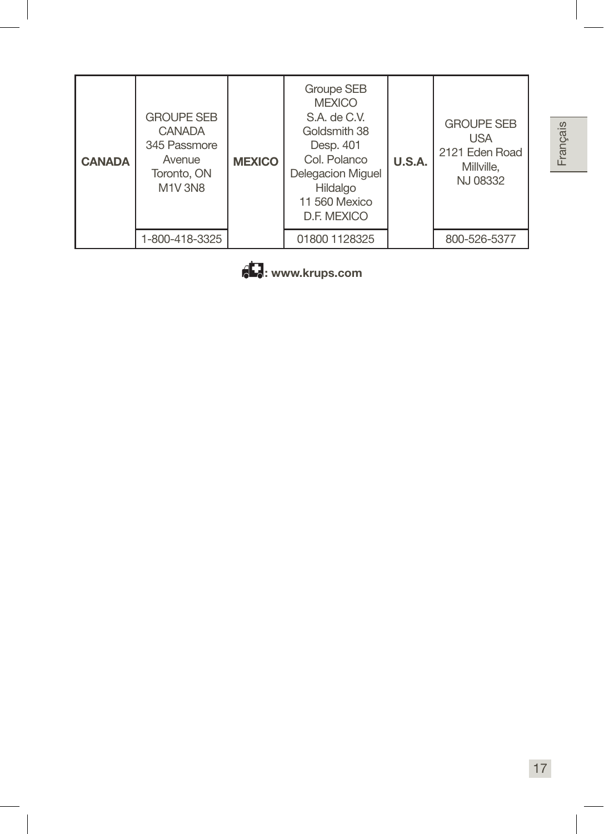| <b>CANADA</b> | <b>GROUPE SEB</b><br><b>CANADA</b><br>345 Passmore<br>Avenue<br>Toronto, ON<br><b>M1V3N8</b> | <b>MEXICO</b> | Groupe SEB<br><b>MEXICO</b><br>S.A. de C.V.<br>Goldsmith 38<br>Desp. 401<br>Col. Polanco<br><b>Delegacion Miguel</b><br>Hildalgo<br>11 560 Mexico<br>D.F. MEXICO | U.S.A. | <b>GROUPE SEB</b><br><b>USA</b><br>2121 Eden Road<br>Millville,<br>NJ 08332 |
|---------------|----------------------------------------------------------------------------------------------|---------------|------------------------------------------------------------------------------------------------------------------------------------------------------------------|--------|-----------------------------------------------------------------------------|
|               | 1-800-418-3325                                                                               |               | 01800 1128325                                                                                                                                                    |        | 800-526-5377                                                                |



Français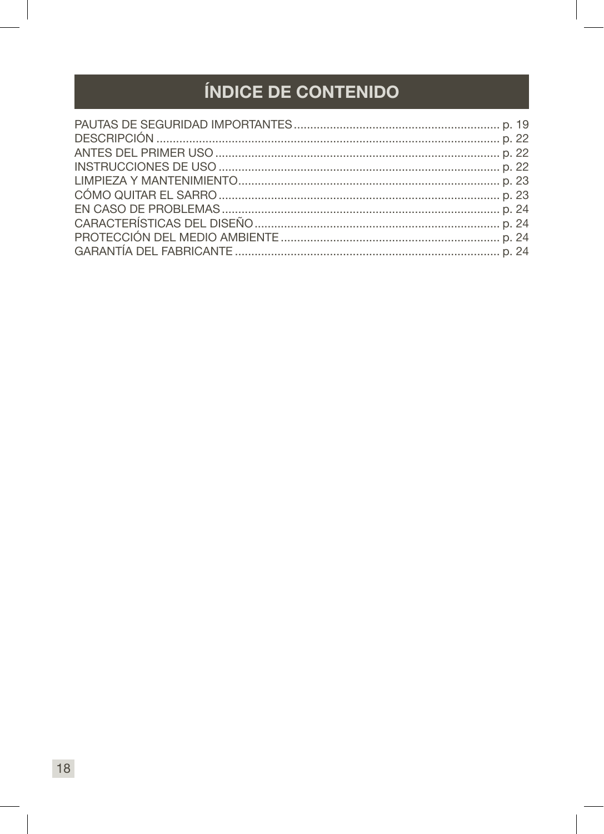# **ÍNDICE DE CONTENIDO**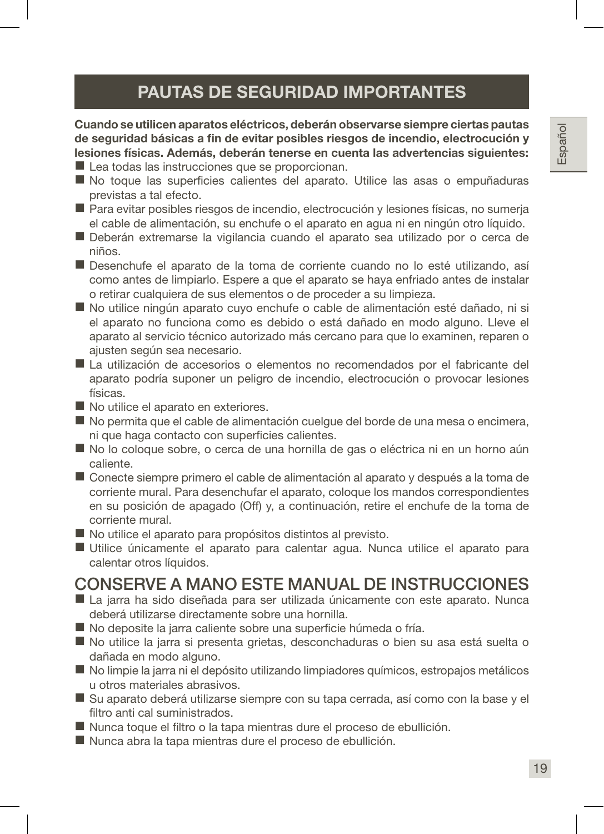#### PAUTAS DE SEGURIDAD IMPORTANTES

Cuando se utilicen aparatos eléctricos, deberán observarse siempre ciertas pautas de seguridad básicas a fin de evitar posibles riesgos de incendio, electrocución y lesiones físicas. Además, deberán tenerse en cuenta las advertencias siguientes:

- Lea todas las instrucciones que se proporcionan.
- No toque las superficies calientes del aparato. Utilice las asas o empuñaduras previstas a tal efecto.
- Para evitar posibles riesgos de incendio, electrocución y lesiones físicas, no sumerja el cable de alimentación, su enchufe o el aparato en agua ni en ningún otro líquido.
- Deberán extremarse la vigilancia cuando el aparato sea utilizado por o cerca de niños.
- Desenchufe el aparato de la toma de corriente cuando no lo esté utilizando, así como antes de limpiarlo. Espere a que el aparato se haya enfriado antes de instalar o retirar cualquiera de sus elementos o de proceder a su limpieza.
- No utilice ningún aparato cuyo enchufe o cable de alimentación esté dañado, ni si el aparato no funciona como es debido o está dañado en modo alguno. Lleve el aparato al servicio técnico autorizado más cercano para que lo examinen, reparen o ajusten según sea necesario.
- La utilización de accesorios o elementos no recomendados por el fabricante del aparato podría suponer un peligro de incendio, electrocución o provocar lesiones físicas.
- No utilice el aparato en exteriores.
- No permita que el cable de alimentación cuelgue del borde de una mesa o encimera, ni que haga contacto con superficies calientes.
- No lo coloque sobre, o cerca de una hornilla de gas o eléctrica ni en un horno aún caliente.
- Conecte siempre primero el cable de alimentación al aparato y después a la toma de corriente mural. Para desenchufar el aparato, coloque los mandos correspondientes en su posición de apagado (Off) y, a continuación, retire el enchufe de la toma de corriente mural.
- No utilice el aparato para propósitos distintos al previsto.
- Utilice únicamente el aparato para calentar agua. Nunca utilice el aparato para calentar otros líquidos.

#### CONSERVE A MANO ESTE MANUAL DE INSTRUCCIONES

- La jarra ha sido diseñada para ser utilizada únicamente con este aparato. Nunca deberá utilizarse directamente sobre una hornilla.
- No deposite la jarra caliente sobre una superficie húmeda o fría.
- No utilice la jarra si presenta grietas, desconchaduras o bien su asa está suelta o dañada en modo alguno.
- $\blacksquare$  No limpie la jarra ni el depósito utilizando limpiadores químicos, estropajos metálicos u otros materiales abrasivos.
- Su aparato deberá utilizarse siempre con su tapa cerrada, así como con la base y el filtro anti cal suministrados.
- Nunca toque el filtro o la tapa mientras dure el proceso de ebullición.
- Nunca abra la tapa mientras dure el proceso de ebullición.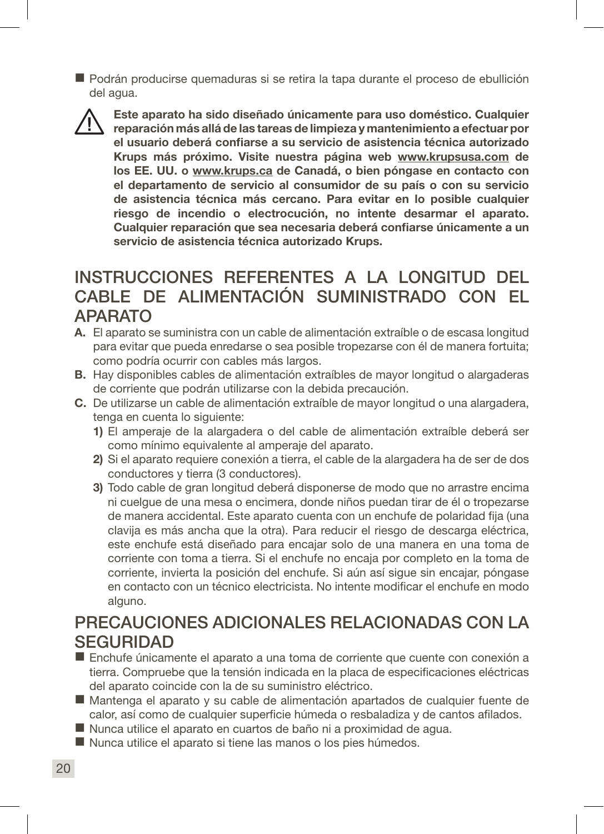Podrán producirse quemaduras si se retira la tapa durante el proceso de ebullición del agua.



Este aparato ha sido diseñado únicamente para uso doméstico. Cualquier reparación más allá de las tareas de limpieza y mantenimiento a efectuar por el usuario deberá confiarse a su servicio de asistencia técnica autorizado Krups más próximo. Visite nuestra página web www.krupsusa.com de los EE. UU. o www.krups.ca de Canadá, o bien póngase en contacto con el departamento de servicio al consumidor de su país o con su servicio de asistencia técnica más cercano. Para evitar en lo posible cualquier riesgo de incendio o electrocución, no intente desarmar el aparato. Cualquier reparación que sea necesaria deberá confiarse únicamente a un servicio de asistencia técnica autorizado Krups.

#### INSTRUCCIONES REFERENTES A LA LONGITUD DEL CABLE DE ALIMENTACIÓN SUMINISTRADO CON EL APARATO

- A. El aparato se suministra con un cable de alimentación extraíble o de escasa longitud para evitar que pueda enredarse o sea posible tropezarse con él de manera fortuita; como podría ocurrir con cables más largos.
- B. Hay disponibles cables de alimentación extraíbles de mayor longitud o alargaderas de corriente que podrán utilizarse con la debida precaución.
- C. De utilizarse un cable de alimentación extraíble de mayor longitud o una alargadera, tenga en cuenta lo siguiente:
	- 1) El amperaje de la alargadera o del cable de alimentación extraíble deberá ser como mínimo equivalente al amperaje del aparato.
	- 2) Si el aparato requiere conexión a tierra, el cable de la alargadera ha de ser de dos conductores y tierra (3 conductores).
	- 3) Todo cable de gran longitud deberá disponerse de modo que no arrastre encima ni cuelgue de una mesa o encimera, donde niños puedan tirar de él o tropezarse de manera accidental. Este aparato cuenta con un enchufe de polaridad fija (una clavija es más ancha que la otra). Para reducir el riesgo de descarga eléctrica, este enchufe está diseñado para encajar solo de una manera en una toma de corriente con toma a tierra. Si el enchufe no encaja por completo en la toma de corriente, invierta la posición del enchufe. Si aún así sigue sin encajar, póngase en contacto con un técnico electricista. No intente modificar el enchufe en modo alguno.

#### PRECAUCIONES ADICIONALES RELACIONADAS CON LA **SEGURIDAD**

- Enchufe únicamente el aparato a una toma de corriente que cuente con conexión a tierra. Compruebe que la tensión indicada en la placa de especificaciones eléctricas del aparato coincide con la de su suministro eléctrico.
- Mantenga el aparato y su cable de alimentación apartados de cualquier fuente de calor, así como de cualquier superficie húmeda o resbaladiza y de cantos afilados.
- Nunca utilice el aparato en cuartos de baño ni a proximidad de agua.
- Nunca utilice el aparato si tiene las manos o los pies húmedos.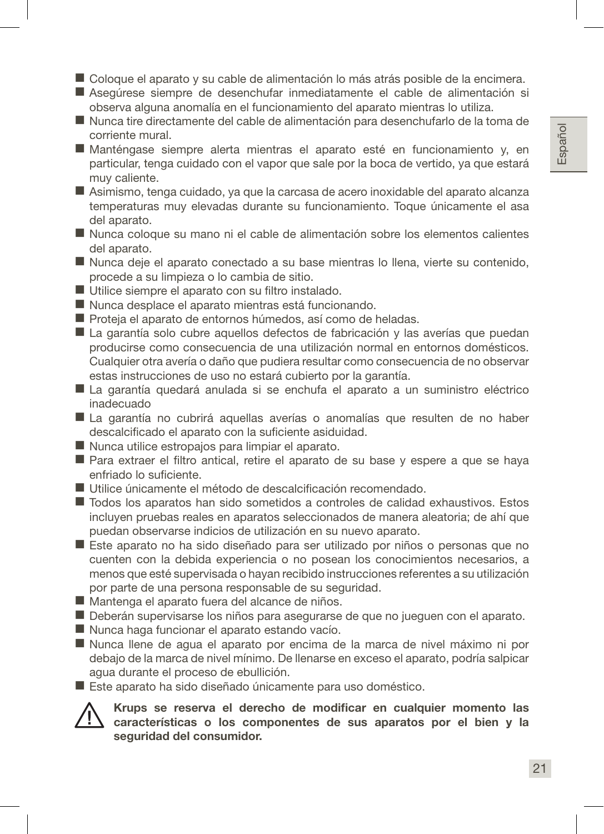- Coloque el aparato y su cable de alimentación lo más atrás posible de la encimera.
- Asegúrese siempre de desenchufar inmediatamente el cable de alimentación si observa alguna anomalía en el funcionamiento del aparato mientras lo utiliza.
- Nunca tire directamente del cable de alimentación para desenchufarlo de la toma de corriente mural.
- Manténgase siempre alerta mientras el aparato esté en funcionamiento y, en particular, tenga cuidado con el vapor que sale por la boca de vertido, ya que estará muy caliente.
- Asimismo, tenga cuidado, ya que la carcasa de acero inoxidable del aparato alcanza temperaturas muy elevadas durante su funcionamiento. Toque únicamente el asa del aparato.
- Nunca coloque su mano ni el cable de alimentación sobre los elementos calientes del aparato.
- Nunca deje el aparato conectado a su base mientras lo llena, vierte su contenido, procede a su limpieza o lo cambia de sitio.
- Utilice siempre el aparato con su filtro instalado.
- Nunca desplace el aparato mientras está funcionando.
- Proteja el aparato de entornos húmedos, así como de heladas.
- La garantía solo cubre aquellos defectos de fabricación y las averías que puedan producirse como consecuencia de una utilización normal en entornos domésticos. Cualquier otra avería o daño que pudiera resultar como consecuencia de no observar estas instrucciones de uso no estará cubierto por la garantía.
- La garantía quedará anulada si se enchufa el aparato a un suministro eléctrico inadecuado
- La garantía no cubrirá aquellas averías o anomalías que resulten de no haber descalcificado el aparato con la suficiente asiduidad.
- Nunca utilice estropajos para limpiar el aparato.
- Para extraer el filtro antical, retire el aparato de su base y espere a que se haya enfriado lo suficiente.
- Utilice únicamente el método de descalcificación recomendado.
- Todos los aparatos han sido sometidos a controles de calidad exhaustivos. Estos incluyen pruebas reales en aparatos seleccionados de manera aleatoria; de ahí que puedan observarse indicios de utilización en su nuevo aparato.
- Este aparato no ha sido diseñado para ser utilizado por niños o personas que no cuenten con la debida experiencia o no posean los conocimientos necesarios, a menos que esté supervisada o hayan recibido instrucciones referentes a su utilización por parte de una persona responsable de su seguridad.
- Mantenga el aparato fuera del alcance de niños.
- Deberán supervisarse los niños para asegurarse de que no juequen con el aparato.
- Nunca haga funcionar el aparato estando vacío.
- Nunca llene de agua el aparato por encima de la marca de nivel máximo ni por debajo de la marca de nivel mínimo. De llenarse en exceso el aparato, podría salpicar agua durante el proceso de ebullición.
- Este aparato ha sido diseñado únicamente para uso doméstico.



Krups se reserva el derecho de modificar en cualquier momento las características o los componentes de sus aparatos por el bien y la seguridad del consumidor.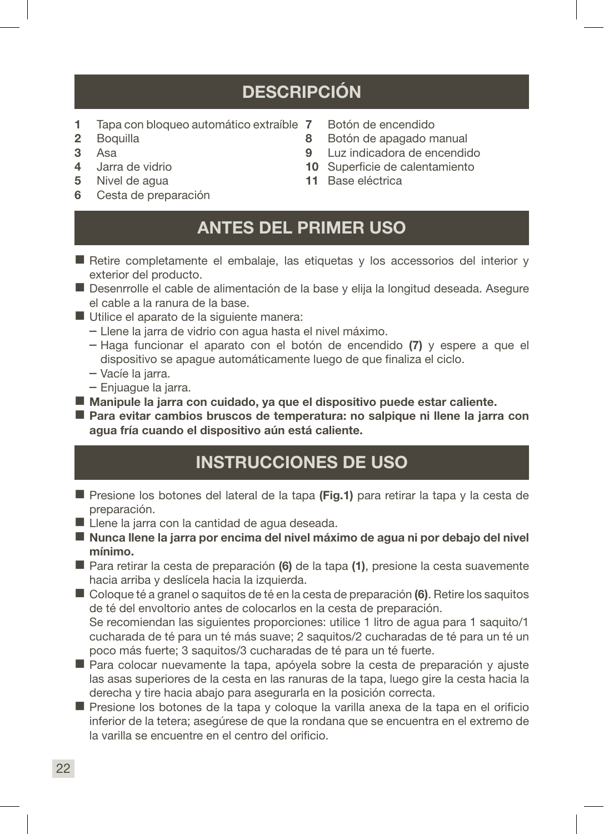## DESCRIPCIÓN

- 1 Tapa con bloqueo automático extraíble 7
- 2 Boquilla
- 3 Asa
- 4 Jarra de vidrio
- 5 Nivel de agua
- 6 Cesta de preparación
- 7 Botón de encendido
- 8 Botón de apagado manual
- 9 Luz indicadora de encendido
- 10 Superficie de calentamiento
- 11 Base eléctrica

#### ANTES DEL PRIMER USO

- Retire completamente el embalaje, las etiquetas y los accessorios del interior y exterior del producto.
- Desenrrolle el cable de alimentación de la base y elija la longitud deseada. Asegure el cable a la ranura de la base.
- Utilice el aparato de la siguiente manera:
	- Llene la jarra de vidrio con agua hasta el nivel máximo.
	- Haga funcionar el aparato con el botón de encendido (7) y espere a que el dispositivo se apague automáticamente luego de que finaliza el ciclo.
	- Vacíe la jarra.
	- Enjuague la jarra.
- Manipule la jarra con cuidado, ya que el dispositivo puede estar caliente.
- Para evitar cambios bruscos de temperatura: no salpique ni llene la jarra con agua fría cuando el dispositivo aún está caliente.

#### INSTRUCCIONES DE USO

- **P** Presione los botones del lateral de la tapa (Fig.1) para retirar la tapa y la cesta de preparación.
- Llene la jarra con la cantidad de agua deseada.
- Nunca llene la jarra por encima del nivel máximo de agua ni por debajo del nivel mínimo.
- **P**ara retirar la cesta de preparación  $(6)$  de la tapa  $(1)$ , presione la cesta suavemente hacia arriba y deslícela hacia la izquierda.
- Coloque té a granel o saquitos de té en la cesta de preparación (6). Retire los saquitos de té del envoltorio antes de colocarlos en la cesta de preparación. Se recomiendan las siguientes proporciones: utilice 1 litro de agua para 1 saquito/1 cucharada de té para un té más suave; 2 saquitos/2 cucharadas de té para un té un poco más fuerte; 3 saquitos/3 cucharadas de té para un té fuerte.
- Para colocar nuevamente la tapa, apóyela sobre la cesta de preparación y ajuste las asas superiores de la cesta en las ranuras de la tapa, luego gire la cesta hacia la derecha y tire hacia abajo para asegurarla en la posición correcta.
- Presione los botones de la tapa y coloque la varilla anexa de la tapa en el orificio inferior de la tetera; asegúrese de que la rondana que se encuentra en el extremo de la varilla se encuentre en el centro del orificio.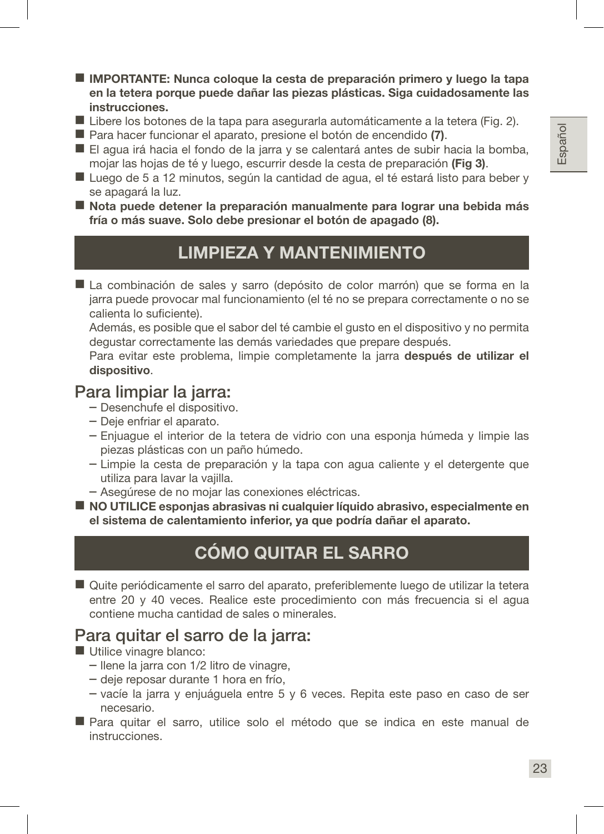- IMPORTANTE: Nunca coloque la cesta de preparación primero y luego la tapa en la tetera porque puede dañar las piezas plásticas. Siga cuidadosamente las instrucciones.
- Libere los botones de la tapa para asegurarla automáticamente a la tetera (Fig. 2).
- Para hacer funcionar el aparato, presione el botón de encendido (7).
- El agua irá hacia el fondo de la jarra y se calentará antes de subir hacia la bomba, mojar las hojas de té y luego, escurrir desde la cesta de preparación (Fig 3).
- Luego de 5 a 12 minutos, según la cantidad de agua, el té estará listo para beber y se apagará la luz.
- Nota puede detener la preparación manualmente para lograr una bebida más fría o más suave. Solo debe presionar el botón de apagado (8).

#### LIMPIEZA Y MANTENIMIENTO

■ La combinación de sales y sarro (depósito de color marrón) que se forma en la jarra puede provocar mal funcionamiento (el té no se prepara correctamente o no se calienta lo suficiente).

Además, es posible que el sabor del té cambie el gusto en el dispositivo y no permita degustar correctamente las demás variedades que prepare después.

Para evitar este problema, limpie completamente la jarra después de utilizar el dispositivo.

# **Para limpiar la jarra:**<br>
– Desenchufe el dispositivo.

- 
- Deje enfriar el aparato.
- Enjuague el interior de la tetera de vidrio con una esponja húmeda y limpie las piezas plásticas con un paño húmedo.
- Limpie la cesta de preparación y la tapa con agua caliente y el detergente que utiliza para lavar la vajilla.
- Asegúrese de no mojar las conexiones eléctricas.
- NO UTILICE esponias abrasivas ni cualquier líquido abrasivo, especialmente en el sistema de calentamiento inferior, ya que podría dañar el aparato.

### CÓMO QUITAR EL SARRO

 Quite periódicamente el sarro del aparato, preferiblemente luego de utilizar la tetera entre 20 y 40 veces. Realice este procedimiento con más frecuencia si el agua contiene mucha cantidad de sales o minerales.

#### Para quitar el sarro de la jarra:

- Utilice vinagre blanco:
	- llene la jarra con 1/2 litro de vinagre,
	- deje reposar durante 1 hora en frío,
	- vacíe la jarra y enjuáguela entre 5 y 6 veces. Repita este paso en caso de ser necesario.
- Para quitar el sarro, utilice solo el método que se indica en este manual de instrucciones.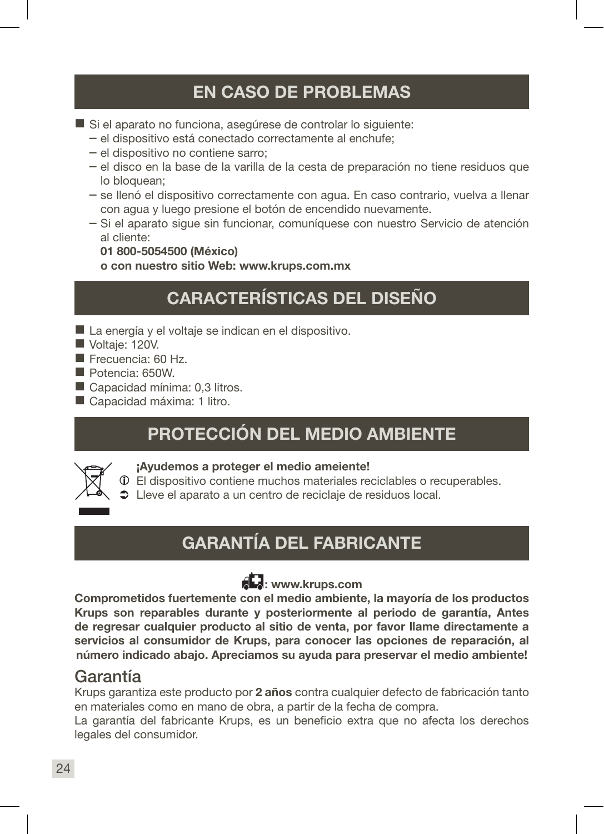#### EN CASO DE PROBLEMAS

- Si el aparato no funciona, asegúrese de controlar lo siguiente:
	- el dispositivo está conectado correctamente al enchufe;
	- el dispositivo no contiene sarro;
	- el disco en la base de la varilla de la cesta de preparación no tiene residuos que lo bloquean;
	- se llenó el dispositivo correctamente con agua. En caso contrario, vuelva a llenar con agua y luego presione el botón de encendido nuevamente.
	- Si el aparato sigue sin funcionar, comuníquese con nuestro Servicio de atención al cliente:

01 800-5054500 (México)

o con nuestro sitio Web: www.krups.com.mx

#### CARACTERÍSTICAS DEL DISEÑO

- La energía y el voltaje se indican en el dispositivo.
- Voltaie: 120V.
- Frecuencia: 60 Hz.
- Potencia: 650W.
- Capacidad mínima: 0,3 litros.
- Capacidad máxima: 1 litro.

#### PROTECCIÓN DEL MEDIO AMBIENTE



#### ¡Ayudemos a proteger el medio ameiente!

- El dispositivo contiene muchos materiales reciclables o recuperables.
- Lleve el aparato a un centro de reciclaje de residuos local.

#### GARANTÍA DEL FABRICANTE

#### : www.krups.com

Comprometidos fuertemente con el medio ambiente, la mayoría de los productos Krups son reparables durante y posteriormente al periodo de garantía, Antes de regresar cualquier producto al sitio de venta, por favor llame directamente a servicios al consumidor de Krups, para conocer las opciones de reparación, al número indicado abajo. Apreciamos su ayuda para preservar el medio ambiente!

#### Garantía

Krups garantiza este producto por 2 años contra cualquier defecto de fabricación tanto en materiales como en mano de obra, a partir de la fecha de compra.

La garantía del fabricante Krups, es un beneficio extra que no afecta los derechos legales del consumidor.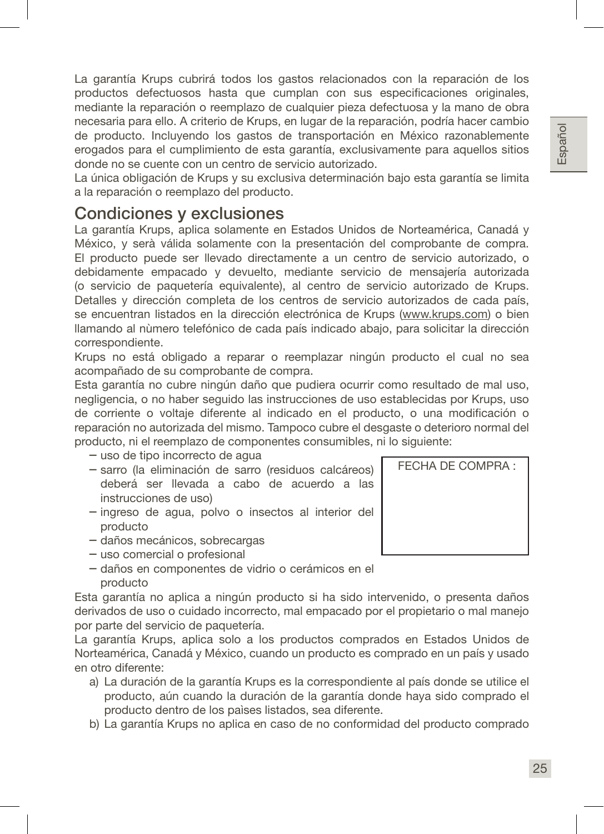Español

La garantía Krups cubrirá todos los gastos relacionados con la reparación de los productos defectuosos hasta que cumplan con sus especificaciones originales, mediante la reparación o reemplazo de cualquier pieza defectuosa y la mano de obra necesaria para ello. A criterio de Krups, en lugar de la reparación, podría hacer cambio de producto. Incluyendo los gastos de transportación en México razonablemente erogados para el cumplimiento de esta garantía, exclusivamente para aquellos sitios donde no se cuente con un centro de servicio autorizado.

La única obligación de Krups y su exclusiva determinación bajo esta garantía se limita a la reparación o reemplazo del producto.

#### Condiciones y exclusiones

La garantía Krups, aplica solamente en Estados Unidos de Norteamérica, Canadá y México, y serà válida solamente con la presentación del comprobante de compra. El producto puede ser llevado directamente a un centro de servicio autorizado, o debidamente empacado y devuelto, mediante servicio de mensajería autorizada (o servicio de paquetería equivalente), al centro de servicio autorizado de Krups. Detalles y dirección completa de los centros de servicio autorizados de cada país, se encuentran listados en la dirección electrónica de Krups (www.krups.com) o bien llamando al nùmero telefónico de cada país indicado abajo, para solicitar la dirección correspondiente.

Krups no está obligado a reparar o reemplazar ningún producto el cual no sea acompañado de su comprobante de compra.

Esta garantía no cubre ningún daño que pudiera ocurrir como resultado de mal uso, negligencia, o no haber seguido las instrucciones de uso establecidas por Krups, uso de corriente o voltaje diferente al indicado en el producto, o una modificación o reparación no autorizada del mismo. Tampoco cubre el desgaste o deterioro normal del producto, ni el reemplazo de componentes consumibles, ni lo siguiente:

- uso de tipo incorrecto de agua
- sarro (la eliminación de sarro (residuos calcáreos) deberá ser llevada a cabo de acuerdo a las instrucciones de uso)
- ingreso de agua, polvo o insectos al interior del producto
- daños mecánicos, sobrecargas
- uso comercial o profesional
- daños en componentes de vidrio o cerámicos en el producto

Esta garantía no aplica a ningún producto si ha sido intervenido, o presenta daños derivados de uso o cuidado incorrecto, mal empacado por el propietario o mal manejo por parte del servicio de paquetería.

La garantía Krups, aplica solo a los productos comprados en Estados Unidos de Norteamérica, Canadá y México, cuando un producto es comprado en un país y usado en otro diferente:

- a) La duración de la garantía Krups es la correspondiente al país donde se utilice el producto, aún cuando la duración de la garantía donde haya sido comprado el producto dentro de los paìses listados, sea diferente.
- b) La garantía Krups no aplica en caso de no conformidad del producto comprado

| FECHA DE COMPRA: |
|------------------|
|                  |
|                  |
|                  |
|                  |